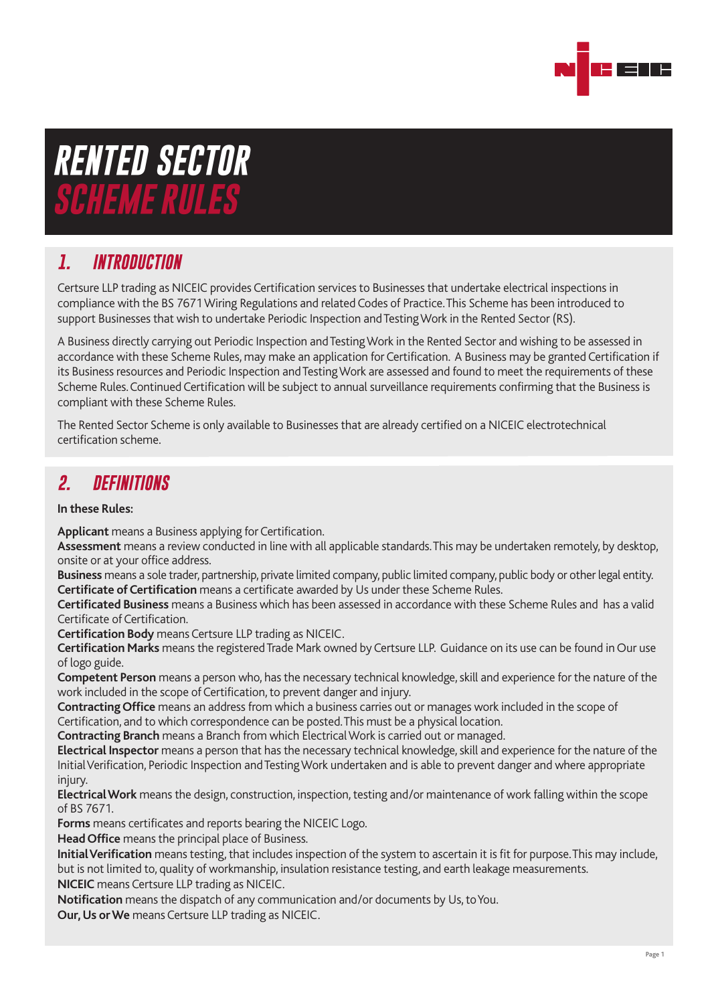

# *RENTED SECTOR SCHEME RULES*

# *1. INTRODUCTION*

Certsure LLP trading as NICEIC provides Certification services to Businesses that undertake electrical inspections in compliance with the BS 7671 Wiring Regulations and related Codes of Practice. This Scheme has been introduced to support Businesses that wish to undertake Periodic Inspection and Testing Work in the Rented Sector (RS).

A Business directly carrying out Periodic Inspection and Testing Work in the Rented Sector and wishing to be assessed in accordance with these Scheme Rules, may make an application for Certification. A Business may be granted Certification if its Business resources and Periodic Inspection and Testing Work are assessed and found to meet the requirements of these Scheme Rules. Continued Certification will be subject to annual surveillance requirements confirming that the Business is compliant with these Scheme Rules.

The Rented Sector Scheme is only available to Businesses that are already certified on a NICEIC electrotechnical certification scheme.

#### *2. DEFINITIONS*

#### **In these Rules:**

**Applicant** means a Business applying for Certification.

**Assessment** means a review conducted in line with all applicable standards. This may be undertaken remotely, by desktop, onsite or at your office address.

**Business** means a sole trader, partnership, private limited company, public limited company, public body or other legal entity. **Certificate of Certification** means a certificate awarded by Us under these Scheme Rules.

**Certificated Business** means a Business which has been assessed in accordance with these Scheme Rules and has a valid Certificate of Certification.

**Certification Body** means Certsure LLP trading as NICEIC.

**Certification Marks** means the registered Trade Mark owned by Certsure LLP. Guidance on its use can be found in Our use of logo guide.

**Competent Person** means a person who, has the necessary technical knowledge, skill and experience for the nature of the work included in the scope of Certification, to prevent danger and injury.

**Contracting Office** means an address from which a business carries out or manages work included in the scope of Certification, and to which correspondence can be posted. This must be a physical location.

**Contracting Branch** means a Branch from which Electrical Work is carried out or managed.

**Electrical Inspector** means a person that has the necessary technical knowledge, skill and experience for the nature of the Initial Verification, Periodic Inspection and Testing Work undertaken and is able to prevent danger and where appropriate injury.

**Electrical Work** means the design, construction, inspection, testing and/or maintenance of work falling within the scope of BS 7671.

**Forms** means certificates and reports bearing the NICEIC Logo.

**Head Office** means the principal place of Business.

**Initial Verification** means testing, that includes inspection of the system to ascertain it is fit for purpose. This may include, but is not limited to, quality of workmanship, insulation resistance testing, and earth leakage measurements. **NICEIC** means Certsure LLP trading as NICEIC.

**Notification** means the dispatch of any communication and/or documents by Us, to You.

**Our, Us or We** means Certsure LLP trading as NICEIC.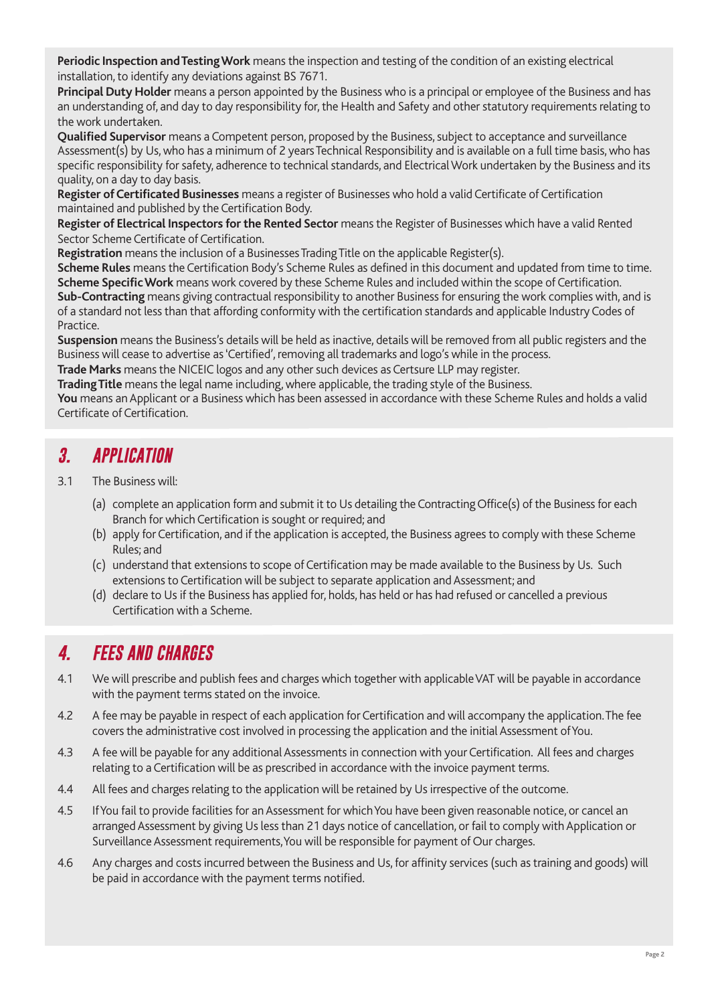**Periodic Inspection and Testing Work** means the inspection and testing of the condition of an existing electrical installation, to identify any deviations against BS 7671.

**Principal Duty Holder** means a person appointed by the Business who is a principal or employee of the Business and has an understanding of, and day to day responsibility for, the Health and Safety and other statutory requirements relating to the work undertaken.

**Qualified Supervisor** means a Competent person, proposed by the Business, subject to acceptance and surveillance Assessment(s) by Us, who has a minimum of 2 years Technical Responsibility and is available on a full time basis, who has specific responsibility for safety, adherence to technical standards, and Electrical Work undertaken by the Business and its quality, on a day to day basis.

**Register of Certificated Businesses** means a register of Businesses who hold a valid Certificate of Certification maintained and published by the Certification Body.

**Register of Electrical Inspectors for the Rented Sector** means the Register of Businesses which have a valid Rented Sector Scheme Certificate of Certification.

**Registration** means the inclusion of a Businesses Trading Title on the applicable Register(s).

**Scheme Rules** means the Certification Body's Scheme Rules as defined in this document and updated from time to time. **Scheme Specific Work** means work covered by these Scheme Rules and included within the scope of Certification.

**Sub-Contracting** means giving contractual responsibility to another Business for ensuring the work complies with, and is of a standard not less than that affording conformity with the certification standards and applicable Industry Codes of Practice.

**Suspension** means the Business's details will be held as inactive, details will be removed from all public registers and the Business will cease to advertise as 'Certified', removing all trademarks and logo's while in the process.

**Trade Marks** means the NICEIC logos and any other such devices as Certsure LLP may register.

**Trading Title** means the legal name including, where applicable, the trading style of the Business.

**You** means an Applicant or a Business which has been assessed in accordance with these Scheme Rules and holds a valid Certificate of Certification.

#### *3. APPLICATION*

- 3.1 The Business will:
	- (a) complete an application form and submit it to Us detailing the Contracting Office(s) of the Business for each Branch for which Certification is sought or required; and
	- (b) apply for Certification, and if the application is accepted, the Business agrees to comply with these Scheme Rules; and
	- (c) understand that extensions to scope of Certification may be made available to the Business by Us. Such extensions to Certification will be subject to separate application and Assessment; and
	- (d) declare to Us if the Business has applied for, holds, has held or has had refused or cancelled a previous Certification with a Scheme.

# *4. FEES AND CHARGES*

- 4.1 We will prescribe and publish fees and charges which together with applicable VAT will be payable in accordance with the payment terms stated on the invoice.
- 4.2 A fee may be payable in respect of each application for Certification and will accompany the application. The fee covers the administrative cost involved in processing the application and the initial Assessment of You.
- 4.3 A fee will be payable for any additional Assessments in connection with your Certification. All fees and charges relating to a Certification will be as prescribed in accordance with the invoice payment terms.
- 4.4 All fees and charges relating to the application will be retained by Us irrespective of the outcome.
- 4.5 If You fail to provide facilities for an Assessment for which You have been given reasonable notice, or cancel an arranged Assessment by giving Us less than 21 days notice of cancellation, or fail to comply with Application or Surveillance Assessment requirements, You will be responsible for payment of Our charges.
- 4.6 Any charges and costs incurred between the Business and Us, for affinity services (such as training and goods) will be paid in accordance with the payment terms notified.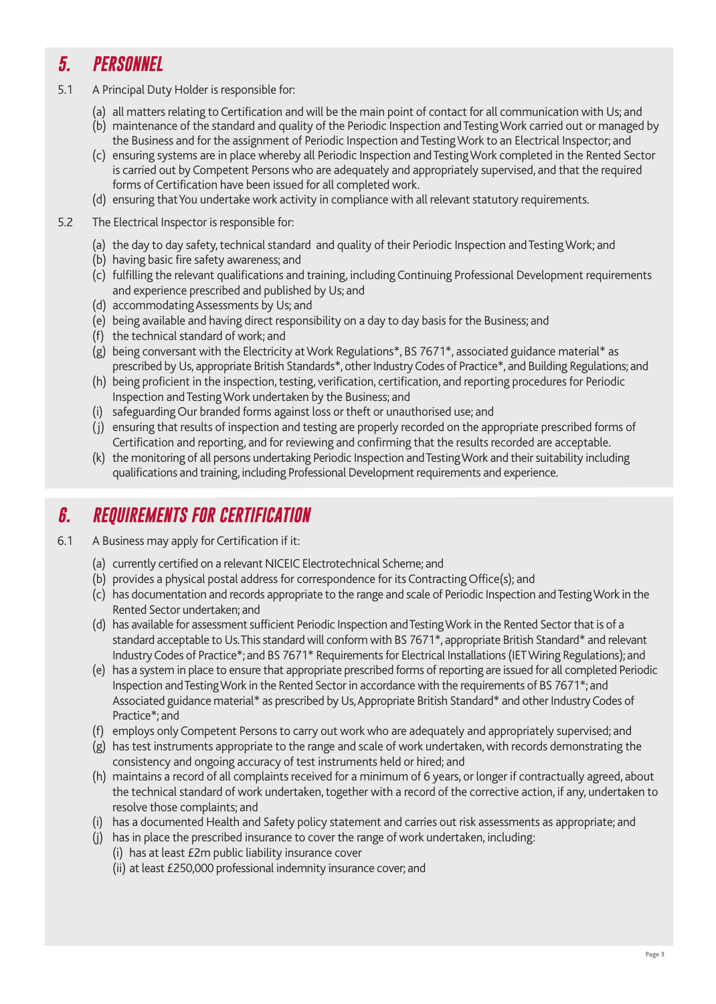# *5. PERSONNEL*

- 5.1 A Principal Duty Holder is responsible for:
	- (a) all matters relating to Certification and will be the main point of contact for all communication with Us; and
	- (b) maintenance of the standard and quality of the Periodic Inspection and Testing Work carried out or managed by the Business and for the assignment of Periodic Inspection and Testing Work to an Electrical Inspector; and
	- (c) ensuring systems are in place whereby all Periodic Inspection and Testing Work completed in the Rented Sector is carried out by Competent Persons who are adequately and appropriately supervised, and that the required forms of Certification have been issued for all completed work.
	- (d) ensuring that You undertake work activity in compliance with all relevant statutory requirements.
- 5.2 The Electrical Inspector is responsible for:
	- (a) the day to day safety, technical standard and quality of their Periodic Inspection and Testing Work; and
	- (b) having basic fire safety awareness; and
	- (c) fulfilling the relevant qualifications and training, including Continuing Professional Development requirements and experience prescribed and published by Us; and
	- (d) accommodating Assessments by Us; and
	- (e) being available and having direct responsibility on a day to day basis for the Business; and
	- (f) the technical standard of work; and
	- (g) being conversant with the Electricity at Work Regulations\*, BS 7671\*, associated guidance material\* as prescribed by Us, appropriate British Standards\*, other Industry Codes of Practice\*, and Building Regulations; and
	- (h) being proficient in the inspection, testing, verification, certification, and reporting procedures for Periodic Inspection and Testing Work undertaken by the Business; and
	- (i) safeguarding Our branded forms against loss or theft or unauthorised use; and
	- (j) ensuring that results of inspection and testing are properly recorded on the appropriate prescribed forms of Certification and reporting, and for reviewing and confirming that the results recorded are acceptable.
	- (k) the monitoring of all persons undertaking Periodic Inspection and Testing Work and their suitability including qualifications and training, including Professional Development requirements and experience.

# *6. REQUIREMENTS FOR CERTIFICATION*

- 6.1 A Business may apply for Certification if it:
	- (a) currently certified on a relevant NICEIC Electrotechnical Scheme; and
	- (b) provides a physical postal address for correspondence for its Contracting Office(s); and
	- (c) has documentation and records appropriate to the range and scale of Periodic Inspection and Testing Work in the Rented Sector undertaken; and
	- (d) has available for assessment sufficient Periodic Inspection and Testing Work in the Rented Sector that is of a standard acceptable to Us. This standard will conform with BS 7671\*, appropriate British Standard\* and relevant Industry Codes of Practice\*; and BS 7671\* Requirements for Electrical Installations (IET Wiring Regulations); and
	- (e) has a system in place to ensure that appropriate prescribed forms of reporting are issued for all completed Periodic Inspection and Testing Work in the Rented Sector in accordance with the requirements of BS 7671\*; and Associated guidance material\* as prescribed by Us, Appropriate British Standard\* and other Industry Codes of Practice\*; and
	- (f) employs only Competent Persons to carry out work who are adequately and appropriately supervised; and
	- (g) has test instruments appropriate to the range and scale of work undertaken, with records demonstrating the consistency and ongoing accuracy of test instruments held or hired; and
	- (h) maintains a record of all complaints received for a minimum of 6 years, or longer if contractually agreed, about the technical standard of work undertaken, together with a record of the corrective action, if any, undertaken to resolve those complaints; and
	- (i) has a documented Health and Safety policy statement and carries out risk assessments as appropriate; and
	- (j) has in place the prescribed insurance to cover the range of work undertaken, including:
		- (i) has at least £2m public liability insurance cover
		- (ii) at least £250,000 professional indemnity insurance cover; and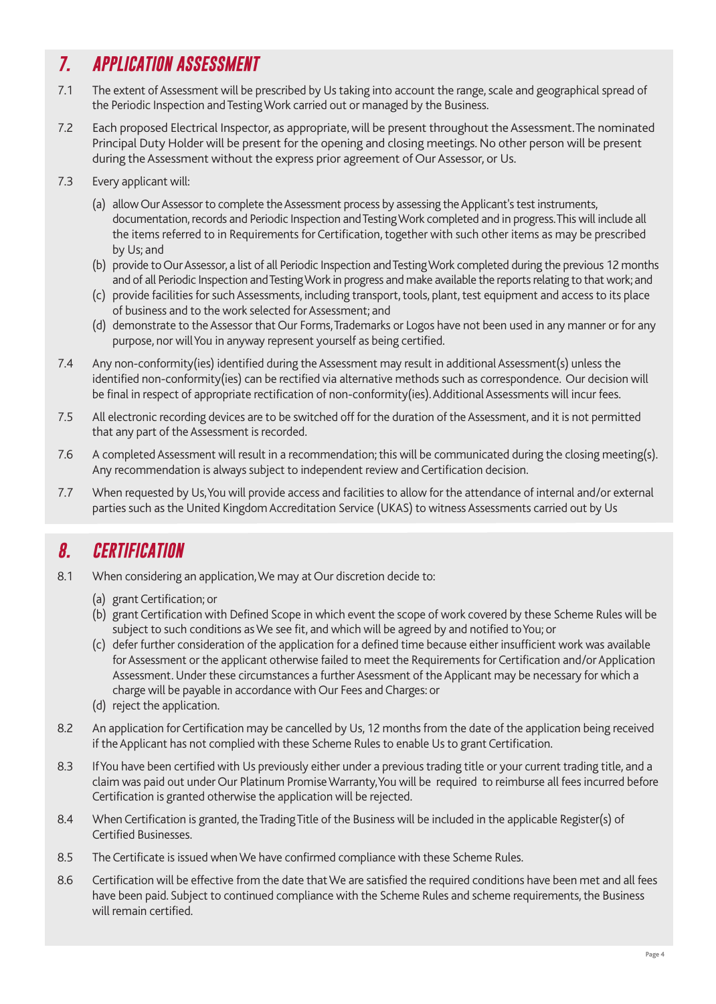# *7. APPLICATION ASSESSMENT*

- 7.1 The extent of Assessment will be prescribed by Us taking into account the range, scale and geographical spread of the Periodic Inspection and Testing Work carried out or managed by the Business.
- 7.2 Each proposed Electrical Inspector, as appropriate, will be present throughout the Assessment. The nominated Principal Duty Holder will be present for the opening and closing meetings. No other person will be present during the Assessment without the express prior agreement of Our Assessor, or Us.
- 7.3 Every applicant will:
	- (a) allow Our Assessor to complete the Assessment process by assessing the Applicant's test instruments, documentation, records and Periodic Inspection and Testing Work completed and in progress. This will include all the items referred to in Requirements for Certification, together with such other items as may be prescribed by Us; and
	- (b) provide to Our Assessor, a list of all Periodic Inspection and Testing Work completed during the previous 12 months and of all Periodic Inspection and Testing Work in progress and make available the reports relating to that work; and
	- (c) provide facilities for such Assessments, including transport, tools, plant, test equipment and access to its place of business and to the work selected for Assessment; and
	- (d) demonstrate to the Assessor that Our Forms, Trademarks or Logos have not been used in any manner or for any purpose, nor will You in anyway represent yourself as being certified.
- 7.4 Any non-conformity(ies) identified during the Assessment may result in additional Assessment(s) unless the identified non-conformity(ies) can be rectified via alternative methods such as correspondence. Our decision will be final in respect of appropriate rectification of non-conformity(ies). Additional Assessments will incur fees.
- 7.5 All electronic recording devices are to be switched off for the duration of the Assessment, and it is not permitted that any part of the Assessment is recorded.
- 7.6 A completed Assessment will result in a recommendation; this will be communicated during the closing meeting(s). Any recommendation is always subject to independent review and Certification decision.
- 7.7 When requested by Us, You will provide access and facilities to allow for the attendance of internal and/or external parties such as the United Kingdom Accreditation Service (UKAS) to witness Assessments carried out by Us

# *8. CERTIFICATION*

- 8.1 When considering an application, We may at Our discretion decide to:
	- (a) grant Certification; or
	- (b) grant Certification with Defined Scope in which event the scope of work covered by these Scheme Rules will be subject to such conditions as We see fit, and which will be agreed by and notified to You; or
	- (c) defer further consideration of the application for a defined time because either insufficient work was available for Assessment or the applicant otherwise failed to meet the Requirements for Certification and/or Application Assessment. Under these circumstances a further Asessment of the Applicant may be necessary for which a charge will be payable in accordance with Our Fees and Charges: or
	- (d) reject the application.
- 8.2 An application for Certification may be cancelled by Us, 12 months from the date of the application being received if the Applicant has not complied with these Scheme Rules to enable Us to grant Certification.
- 8.3 If You have been certified with Us previously either under a previous trading title or your current trading title, and a claim was paid out under Our Platinum Promise Warranty, You will be required to reimburse all fees incurred before Certification is granted otherwise the application will be rejected.
- 8.4 When Certification is granted, the Trading Title of the Business will be included in the applicable Register(s) of Certified Businesses.
- 8.5 The Certificate is issued when We have confirmed compliance with these Scheme Rules.
- 8.6 Certification will be effective from the date that We are satisfied the required conditions have been met and all fees have been paid. Subject to continued compliance with the Scheme Rules and scheme requirements, the Business will remain certified.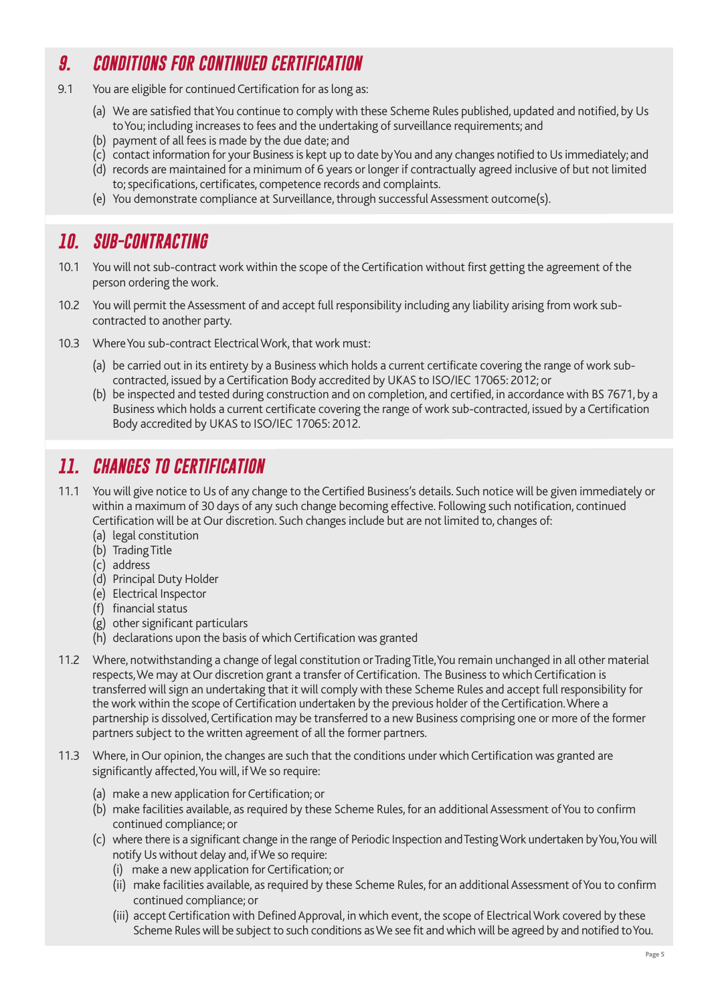# *9. CONDITIONS FOR CONTINUED CERTIFICATION*

- 9.1 You are eligible for continued Certification for as long as:
	- (a) We are satisfied that You continue to comply with these Scheme Rules published, updated and notified, by Us to You; including increases to fees and the undertaking of surveillance requirements; and
	- (b) payment of all fees is made by the due date; and
	- (c) contact information for your Business is kept up to date by You and any changes notified to Us immediately; and
	- (d) records are maintained for a minimum of 6 years or longer if contractually agreed inclusive of but not limited to; specifications, certificates, competence records and complaints.
	- (e) You demonstrate compliance at Surveillance, through successful Assessment outcome(s).

#### *10. SUB-CONTRACTING*

- 10.1 You will not sub-contract work within the scope of the Certification without first getting the agreement of the person ordering the work.
- 10.2 You will permit the Assessment of and accept full responsibility including any liability arising from work subcontracted to another party.
- 10.3 Where You sub-contract Electrical Work, that work must:
	- (a) be carried out in its entirety by a Business which holds a current certificate covering the range of work subcontracted, issued by a Certification Body accredited by UKAS to ISO/IEC 17065: 2012; or
	- (b) be inspected and tested during construction and on completion, and certified, in accordance with BS 7671, by a Business which holds a current certificate covering the range of work sub-contracted, issued by a Certification Body accredited by UKAS to ISO/IEC 17065: 2012.

# *11. CHANGES TO CERTIFICATION*

- 11.1 You will give notice to Us of any change to the Certified Business's details. Such notice will be given immediately or within a maximum of 30 days of any such change becoming effective. Following such notification, continued Certification will be at Our discretion. Such changes include but are not limited to, changes of:
	- (a) legal constitution
	- (b) Trading Title
	- (c) address
	- (d) Principal Duty Holder
	- (e) Electrical Inspector
	- (f) financial status
	- (g) other significant particulars
	- (h) declarations upon the basis of which Certification was granted
- 11.2 Where, notwithstanding a change of legal constitution or Trading Title, You remain unchanged in all other material respects, We may at Our discretion grant a transfer of Certification. The Business to which Certification is transferred will sign an undertaking that it will comply with these Scheme Rules and accept full responsibility for the work within the scope of Certification undertaken by the previous holder of the Certification. Where a partnership is dissolved, Certification may be transferred to a new Business comprising one or more of the former partners subject to the written agreement of all the former partners.
- 11.3 Where, in Our opinion, the changes are such that the conditions under which Certification was granted are significantly affected, You will, if We so require:
	- (a) make a new application for Certification; or
	- (b) make facilities available, as required by these Scheme Rules, for an additional Assessment of You to confirm continued compliance; or
	- (c) where there is a significant change in the range of Periodic Inspection and Testing Work undertaken by You, You will notify Us without delay and, if We so require:
		- (i) make a new application for Certification; or
		- (ii) make facilities available, as required by these Scheme Rules, for an additional Assessment of You to confirm continued compliance; or
		- (iii) accept Certification with Defined Approval, in which event, the scope of Electrical Work covered by these Scheme Rules will be subject to such conditions as We see fit and which will be agreed by and notified to You.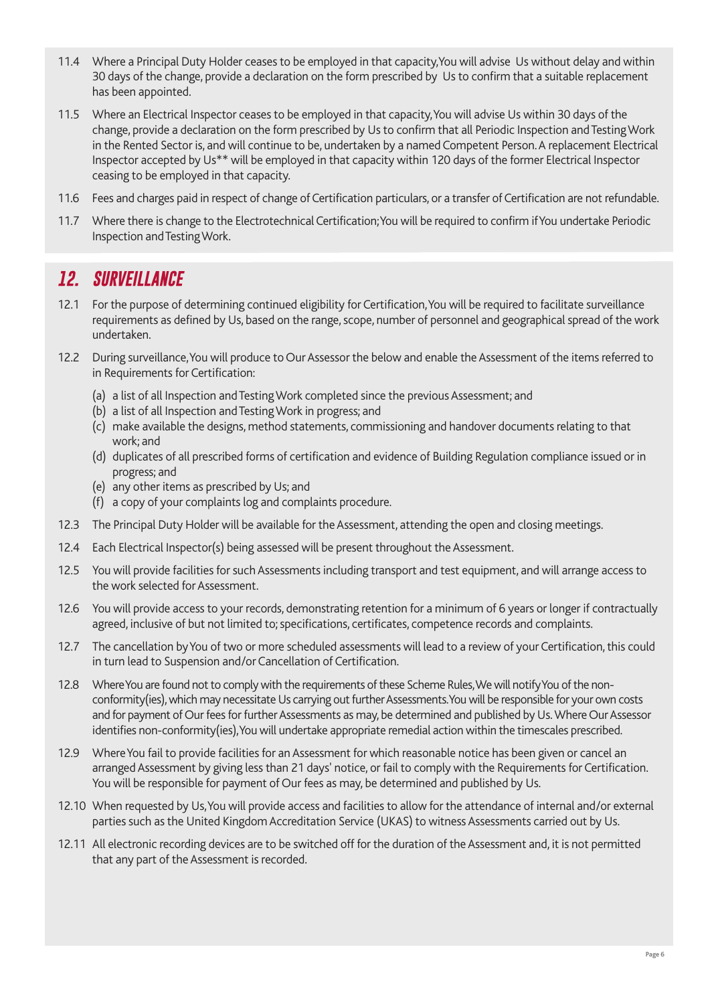- 11.4 Where a Principal Duty Holder ceases to be employed in that capacity,You will advise Us without delay and within 30 days of the change, provide a declaration on the form prescribed by Us to confirm that a suitable replacement has been appointed.
- 11.5 Where an Electrical Inspector ceases to be employed in that capacity, You will advise Us within 30 days of the change, provide a declaration on the form prescribed by Us to confirm that all Periodic Inspection and Testing Work in the Rented Sector is, and will continue to be, undertaken by a named Competent Person. A replacement Electrical Inspector accepted by Us\*\* will be employed in that capacity within 120 days of the former Electrical Inspector ceasing to be employed in that capacity.
- 11.6 Fees and charges paid in respect of change of Certification particulars, or a transfer of Certification are not refundable.
- 11.7 Where there is change to the Electrotechnical Certification; You will be required to confirm if You undertake Periodic Inspection and Testing Work.

#### *12. SURVEILLANCE*

- 12.1 For the purpose of determining continued eligibility for Certification, You will be required to facilitate surveillance requirements as defined by Us, based on the range, scope, number of personnel and geographical spread of the work undertaken.
- 12.2 During surveillance, You will produce to Our Assessor the below and enable the Assessment of the items referred to in Requirements for Certification:
	- (a) a list of all Inspection and Testing Work completed since the previous Assessment; and
	- (b) a list of all Inspection and Testing Work in progress; and
	- (c) make available the designs, method statements, commissioning and handover documents relating to that work; and
	- (d) duplicates of all prescribed forms of certification and evidence of Building Regulation compliance issued or in progress; and
	- (e) any other items as prescribed by Us; and
	- (f) a copy of your complaints log and complaints procedure.
- 12.3 The Principal Duty Holder will be available for the Assessment, attending the open and closing meetings.
- 12.4 Each Electrical Inspector(s) being assessed will be present throughout the Assessment.
- 12.5 You will provide facilities for such Assessments including transport and test equipment, and will arrange access to the work selected for Assessment.
- 12.6 You will provide access to your records, demonstrating retention for a minimum of 6 years or longer if contractually agreed, inclusive of but not limited to; specifications, certificates, competence records and complaints.
- 12.7 The cancellation by You of two or more scheduled assessments will lead to a review of your Certification, this could in turn lead to Suspension and/or Cancellation of Certification.
- 12.8 Where You are found not to comply with the requirements of these Scheme Rules, We will notify You of the nonconformity(ies), which may necessitate Us carrying out further Assessments. You will be responsible for your own costs and for payment of Our fees for further Assessments as may, be determined and published by Us. Where Our Assessor identifies non-conformity(ies), You will undertake appropriate remedial action within the timescales prescribed.
- 12.9 Where You fail to provide facilities for an Assessment for which reasonable notice has been given or cancel an arranged Assessment by giving less than 21 days' notice, or fail to comply with the Requirements for Certification. You will be responsible for payment of Our fees as may, be determined and published by Us.
- 12.10 When requested by Us, You will provide access and facilities to allow for the attendance of internal and/or external parties such as the United Kingdom Accreditation Service (UKAS) to witness Assessments carried out by Us.
- 12.11 All electronic recording devices are to be switched off for the duration of the Assessment and, it is not permitted that any part of the Assessment is recorded.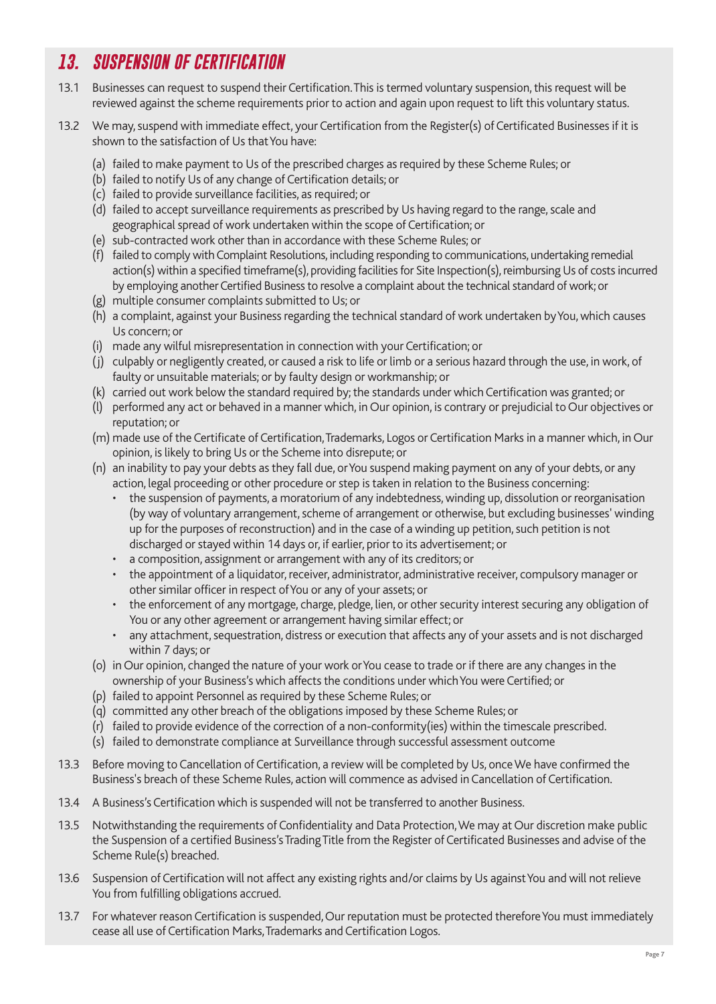# *13. SUSPENSION OF CERTIFICATION*

- 13.1 Businesses can request to suspend their Certification. This is termed voluntary suspension, this request will be reviewed against the scheme requirements prior to action and again upon request to lift this voluntary status.
- 13.2 We may, suspend with immediate effect, your Certification from the Register(s) of Certificated Businesses if it is shown to the satisfaction of Us that You have:
	- (a) failed to make payment to Us of the prescribed charges as required by these Scheme Rules; or
	- (b) failed to notify Us of any change of Certification details; or
	- (c) failed to provide surveillance facilities, as required; or
	- (d) failed to accept surveillance requirements as prescribed by Us having regard to the range, scale and geographical spread of work undertaken within the scope of Certification; or
	- (e) sub-contracted work other than in accordance with these Scheme Rules; or
	- (f) failed to comply with Complaint Resolutions, including responding to communications, undertaking remedial action(s) within a specified timeframe(s), providing facilities for Site Inspection(s), reimbursing Us of costs incurred by employing another Certified Business to resolve a complaint about the technical standard of work; or
	- (g) multiple consumer complaints submitted to Us; or
	- (h) a complaint, against your Business regarding the technical standard of work undertaken by You, which causes Us concern; or
	- (i) made any wilful misrepresentation in connection with your Certification; or
	- (j) culpably or negligently created, or caused a risk to life or limb or a serious hazard through the use, in work, of faulty or unsuitable materials; or by faulty design or workmanship; or
	- (k) carried out work below the standard required by; the standards under which Certification was granted; or
	- (l) performed any act or behaved in a manner which, in Our opinion, is contrary or prejudicial to Our objectives or reputation; or
	- (m) made use of the Certificate of Certification, Trademarks, Logos or Certification Marks in a manner which, in Our opinion, is likely to bring Us or the Scheme into disrepute; or
	- (n) an inability to pay your debts as they fall due, or You suspend making payment on any of your debts, or any action, legal proceeding or other procedure or step is taken in relation to the Business concerning:
		- the suspension of payments, a moratorium of any indebtedness, winding up, dissolution or reorganisation (by way of voluntary arrangement, scheme of arrangement or otherwise, but excluding businesses' winding up for the purposes of reconstruction) and in the case of a winding up petition, such petition is not discharged or stayed within 14 days or, if earlier, prior to its advertisement; or
		- a composition, assignment or arrangement with any of its creditors; or
		- the appointment of a liquidator, receiver, administrator, administrative receiver, compulsory manager or other similar officer in respect of You or any of your assets; or
		- the enforcement of any mortgage, charge, pledge, lien, or other security interest securing any obligation of You or any other agreement or arrangement having similar effect; or
		- any attachment, sequestration, distress or execution that affects any of your assets and is not discharged within 7 days; or
	- (o) in Our opinion, changed the nature of your work or You cease to trade or if there are any changes in the ownership of your Business's which affects the conditions under which You were Certified; or
	- (p) failed to appoint Personnel as required by these Scheme Rules; or
	- (q) committed any other breach of the obligations imposed by these Scheme Rules; or
	- (r) failed to provide evidence of the correction of a non-conformity(ies) within the timescale prescribed.
	- (s) failed to demonstrate compliance at Surveillance through successful assessment outcome
- 13.3 Before moving to Cancellation of Certification, a review will be completed by Us, once We have confirmed the Business's breach of these Scheme Rules, action will commence as advised in Cancellation of Certification.
- 13.4 A Business's Certification which is suspended will not be transferred to another Business.
- 13.5 Notwithstanding the requirements of Confidentiality and Data Protection, We may at Our discretion make public the Suspension of a certified Business's Trading Title from the Register of Certificated Businesses and advise of the Scheme Rule(s) breached.
- 13.6 Suspension of Certification will not affect any existing rights and/or claims by Us against You and will not relieve You from fulfilling obligations accrued.
- 13.7 For whatever reason Certification is suspended, Our reputation must be protected therefore You must immediately cease all use of Certification Marks, Trademarks and Certification Logos.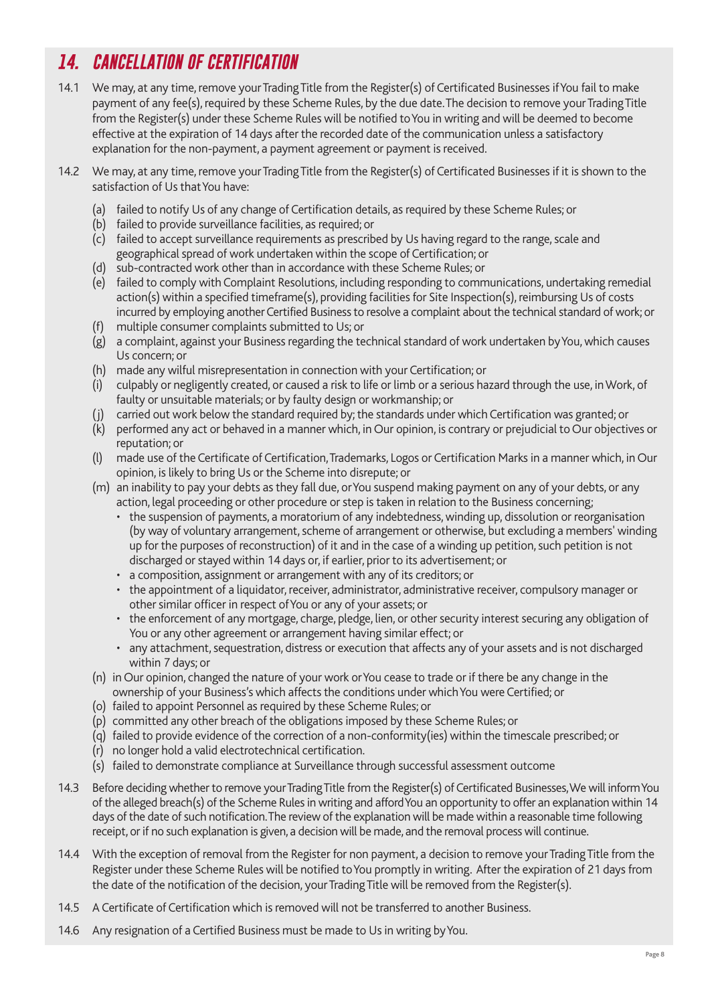# *14. CANCELLATION OF CERTIFICATION*

- 14.1 We may, at any time, remove your Trading Title from the Register(s) of Certificated Businesses if You fail to make payment of any fee(s), required by these Scheme Rules, by the due date. The decision to remove your Trading Title from the Register(s) under these Scheme Rules will be notified to You in writing and will be deemed to become effective at the expiration of 14 days after the recorded date of the communication unless a satisfactory explanation for the non-payment, a payment agreement or payment is received.
- 14.2 We may, at any time, remove your Trading Title from the Register(s) of Certificated Businesses if it is shown to the satisfaction of Us that You have:
	- (a) failed to notify Us of any change of Certification details, as required by these Scheme Rules; or
	- (b) failed to provide surveillance facilities, as required; or
	- (c) failed to accept surveillance requirements as prescribed by Us having regard to the range, scale and geographical spread of work undertaken within the scope of Certification; or
	- (d) sub-contracted work other than in accordance with these Scheme Rules; or
	- (e) failed to comply with Complaint Resolutions, including responding to communications, undertaking remedial action(s) within a specified timeframe(s), providing facilities for Site Inspection(s), reimbursing Us of costs incurred by employing another Certified Business to resolve a complaint about the technical standard of work; or
	- (f) multiple consumer complaints submitted to Us; or
	- (g) a complaint, against your Business regarding the technical standard of work undertaken by You, which causes Us concern; or
	- (h) made any wilful misrepresentation in connection with your Certification; or
	- culpably or negligently created, or caused a risk to life or limb or a serious hazard through the use, in Work, of faulty or unsuitable materials; or by faulty design or workmanship; or
	- carried out work below the standard required by; the standards under which Certification was granted; or
	- (k) performed any act or behaved in a manner which, in Our opinion, is contrary or prejudicial to Our objectives or reputation; or
	- made use of the Certificate of Certification, Trademarks, Logos or Certification Marks in a manner which, in Our opinion, is likely to bring Us or the Scheme into disrepute; or
	- (m) an inability to pay your debts as they fall due, or You suspend making payment on any of your debts, or any action, legal proceeding or other procedure or step is taken in relation to the Business concerning;
		- the suspension of payments, a moratorium of any indebtedness, winding up, dissolution or reorganisation (by way of voluntary arrangement, scheme of arrangement or otherwise, but excluding a members' winding up for the purposes of reconstruction) of it and in the case of a winding up petition, such petition is not discharged or stayed within 14 days or, if earlier, prior to its advertisement; or
		- a composition, assignment or arrangement with any of its creditors; or
		- the appointment of a liquidator, receiver, administrator, administrative receiver, compulsory manager or other similar officer in respect of You or any of your assets; or
		- the enforcement of any mortgage, charge, pledge, lien, or other security interest securing any obligation of You or any other agreement or arrangement having similar effect; or
		- any attachment, sequestration, distress or execution that affects any of your assets and is not discharged within 7 days; or
	- (n) in Our opinion, changed the nature of your work or You cease to trade or if there be any change in the ownership of your Business's which affects the conditions under which You were Certified; or
	- (o) failed to appoint Personnel as required by these Scheme Rules; or
	- (p) committed any other breach of the obligations imposed by these Scheme Rules; or
	- (q) failed to provide evidence of the correction of a non-conformity(ies) within the timescale prescribed; or
	- (r) no longer hold a valid electrotechnical certification.
	- (s) failed to demonstrate compliance at Surveillance through successful assessment outcome
- 14.3 Before deciding whether to remove your Trading Title from the Register(s) of Certificated Businesses, We will inform You of the alleged breach(s) of the Scheme Rules in writing and afford You an opportunity to offer an explanation within 14 days of the date of such notification. The review of the explanation will be made within a reasonable time following receipt, or if no such explanation is given, a decision will be made, and the removal process will continue.
- 14.4 With the exception of removal from the Register for non payment, a decision to remove your Trading Title from the Register under these Scheme Rules will be notified to You promptly in writing. After the expiration of 21 days from the date of the notification of the decision, your Trading Title will be removed from the Register(s).
- 14.5 A Certificate of Certification which is removed will not be transferred to another Business.
- 14.6 Any resignation of a Certified Business must be made to Us in writing by You.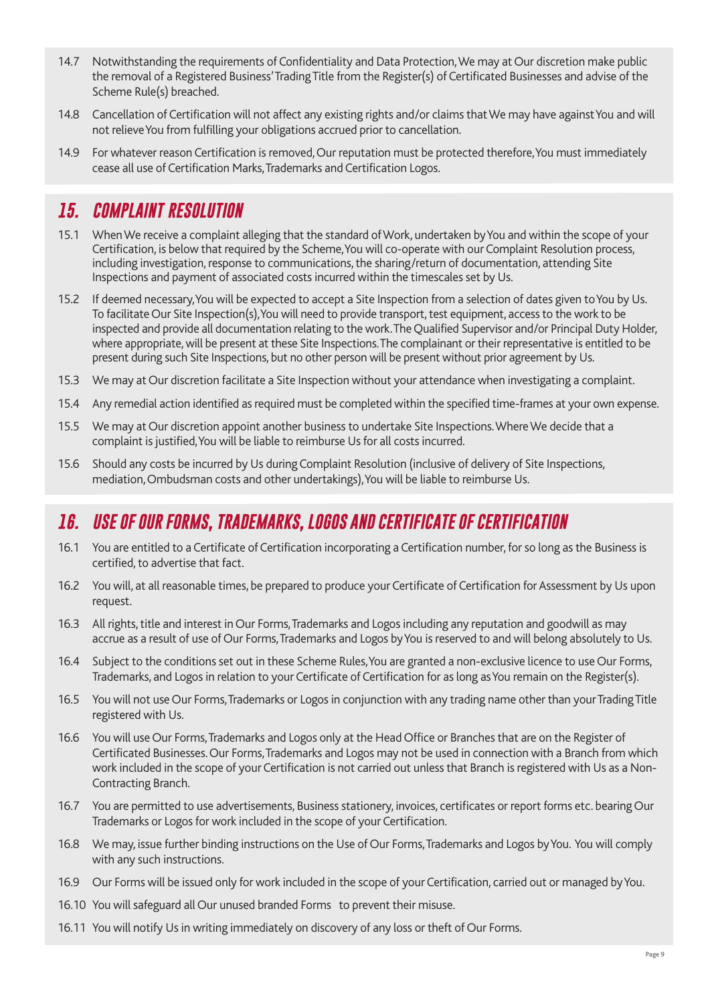- 14.7 Notwithstanding the requirements of Confidentiality and Data Protection, We may at Our discretion make public the removal of a Registered Business' Trading Title from the Register(s) of Certificated Businesses and advise of the Scheme Rule(s) breached.
- 14.8 Cancellation of Certification will not affect any existing rights and/or claims that We may have against You and will not relieve You from fulfilling your obligations accrued prior to cancellation.
- 14.9 For whatever reason Certification is removed, Our reputation must be protected therefore, You must immediately cease all use of Certification Marks, Trademarks and Certification Logos.

#### *15. COMPLAINT RESOLUTION*

- 15.1 When We receive a complaint alleging that the standard of Work, undertaken by You and within the scope of your Certification, is below that required by the Scheme, You will co-operate with our Complaint Resolution process, including investigation, response to communications, the sharing/return of documentation, attending Site Inspections and payment of associated costs incurred within the timescales set by Us.
- 15.2 If deemed necessary, You will be expected to accept a Site Inspection from a selection of dates given to You by Us. To facilitate Our Site Inspection(s), You will need to provide transport, test equipment, access to the work to be inspected and provide all documentation relating to the work. The Qualified Supervisor and/or Principal Duty Holder, where appropriate, will be present at these Site Inspections. The complainant or their representative is entitled to be present during such Site Inspections, but no other person will be present without prior agreement by Us.
- 15.3 We may at Our discretion facilitate a Site Inspection without your attendance when investigating a complaint.
- 15.4 Any remedial action identified as required must be completed within the specified time-frames at your own expense.
- 15.5 We may at Our discretion appoint another business to undertake Site Inspections. Where We decide that a complaint is justified, You will be liable to reimburse Us for all costs incurred.
- 15.6 Should any costs be incurred by Us during Complaint Resolution (inclusive of delivery of Site Inspections, mediation, Ombudsman costs and other undertakings), You will be liable to reimburse Us.

#### *16. USE OF OUR FORMS, TRADEMARKS, LOGOS AND CERTIFICATE OF CERTIFICATION*

- 16.1 You are entitled to a Certificate of Certification incorporating a Certification number, for so long as the Business is certified, to advertise that fact.
- 16.2 You will, at all reasonable times, be prepared to produce your Certificate of Certification for Assessment by Us upon request.
- 16.3 All rights, title and interest in Our Forms, Trademarks and Logos including any reputation and goodwill as may accrue as a result of use of Our Forms, Trademarks and Logos by You is reserved to and will belong absolutely to Us.
- 16.4 Subject to the conditions set out in these Scheme Rules, You are granted a non-exclusive licence to use Our Forms, Trademarks, and Logos in relation to your Certificate of Certification for as long as You remain on the Register(s).
- 16.5 You will not use Our Forms, Trademarks or Logos in conjunction with any trading name other than your Trading Title registered with Us.
- 16.6 You will use Our Forms, Trademarks and Logos only at the Head Office or Branches that are on the Register of Certificated Businesses. Our Forms, Trademarks and Logos may not be used in connection with a Branch from which work included in the scope of your Certification is not carried out unless that Branch is registered with Us as a Non-Contracting Branch.
- 16.7 You are permitted to use advertisements, Business stationery, invoices, certificates or report forms etc. bearing Our Trademarks or Logos for work included in the scope of your Certification.
- 16.8 We may, issue further binding instructions on the Use of Our Forms, Trademarks and Logos by You. You will comply with any such instructions.
- 16.9 Our Forms will be issued only for work included in the scope of your Certification, carried out or managed by You.
- 16.10 You will safeguard all Our unused branded Forms to prevent their misuse.
- 16.11 You will notify Us in writing immediately on discovery of any loss or theft of Our Forms.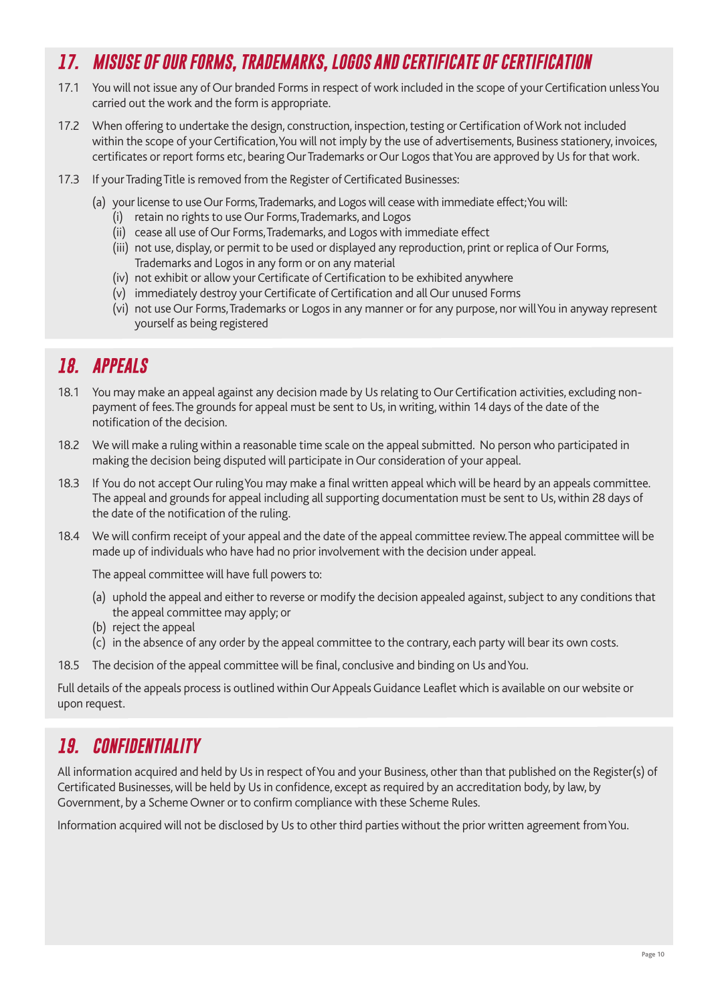# *17. MISUSE OF OUR FORMS, TRADEMARKS, LOGOS AND CERTIFICATE OF CERTIFICATION*

- 17.1 You will not issue any of Our branded Forms in respect of work included in the scope of your Certification unless You carried out the work and the form is appropriate.
- 17.2 When offering to undertake the design, construction, inspection, testing or Certification of Work not included within the scope of your Certification, You will not imply by the use of advertisements, Business stationery, invoices, certificates or report forms etc, bearing Our Trademarks or Our Logos that You are approved by Us for that work.
- 17.3 If your Trading Title is removed from the Register of Certificated Businesses:
	- (a) your license to use Our Forms, Trademarks, and Logos will cease with immediate effect; You will:
		- (i) retain no rights to use Our Forms, Trademarks, and Logos
		- (ii) cease all use of Our Forms, Trademarks, and Logos with immediate effect
		- (iii) not use, display, or permit to be used or displayed any reproduction, print or replica of Our Forms, Trademarks and Logos in any form or on any material
		- (iv) not exhibit or allow your Certificate of Certification to be exhibited anywhere
		- (v) immediately destroy your Certificate of Certification and all Our unused Forms
		- (vi) not use Our Forms, Trademarks or Logos in any manner or for any purpose, nor will You in anyway represent yourself as being registered

# *18. APPEALS*

- 18.1 You may make an appeal against any decision made by Us relating to Our Certification activities, excluding nonpayment of fees. The grounds for appeal must be sent to Us, in writing, within 14 days of the date of the notification of the decision.
- 18.2 We will make a ruling within a reasonable time scale on the appeal submitted. No person who participated in making the decision being disputed will participate in Our consideration of your appeal.
- 18.3 If You do not accept Our ruling You may make a final written appeal which will be heard by an appeals committee. The appeal and grounds for appeal including all supporting documentation must be sent to Us, within 28 days of the date of the notification of the ruling.
- 18.4 We will confirm receipt of your appeal and the date of the appeal committee review. The appeal committee will be made up of individuals who have had no prior involvement with the decision under appeal.

The appeal committee will have full powers to:

- (a) uphold the appeal and either to reverse or modify the decision appealed against, subject to any conditions that the appeal committee may apply; or
- (b) reject the appeal
- (c) in the absence of any order by the appeal committee to the contrary, each party will bear its own costs.
- 18.5 The decision of the appeal committee will be final, conclusive and binding on Us and You.

Full details of the appeals process is outlined within Our Appeals Guidance Leaflet which is available on our website or upon request.

# *19. CONFIDENTIALITY*

All information acquired and held by Us in respect of You and your Business, other than that published on the Register(s) of Certificated Businesses, will be held by Us in confidence, except as required by an accreditation body, by law, by Government, by a Scheme Owner or to confirm compliance with these Scheme Rules.

Information acquired will not be disclosed by Us to other third parties without the prior written agreement from You.